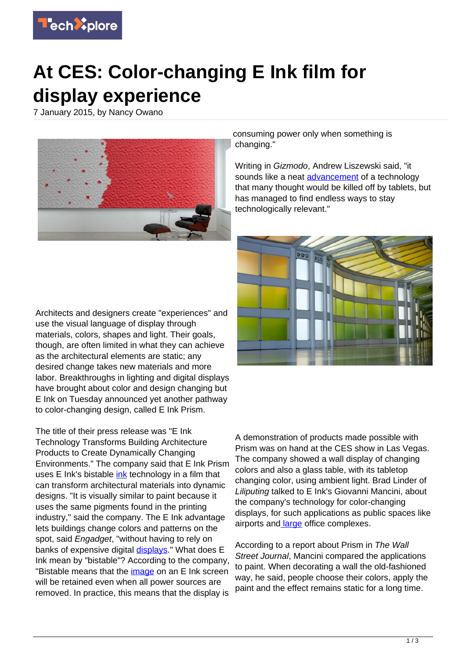

## **At CES: Color-changing E Ink film for display experience**

7 January 2015, by Nancy Owano



consuming power only when something is changing."

Writing in Gizmodo, Andrew Liszewski said, "it sounds like a neat **advancement** of a technology that many thought would be killed off by tablets, but has managed to find endless ways to stay technologically relevant."



Architects and designers create "experiences" and use the visual language of display through materials, colors, shapes and light. Their goals, though, are often limited in what they can achieve as the architectural elements are static; any desired change takes new materials and more labor. Breakthroughs in lighting and digital displays have brought about color and design changing but E Ink on Tuesday announced yet another pathway to color-changing design, called E Ink Prism.

The title of their press release was "E Ink Technology Transforms Building Architecture Products to Create Dynamically Changing Environments." The company said that E Ink Prism uses E Ink's bistable [ink](https://techxplore.com/tags/ink/) technology in a film that can transform architectural materials into dynamic designs. "It is visually similar to paint because it uses the same pigments found in the printing industry," said the company. The E Ink advantage lets buildings change colors and patterns on the spot, said *Engadget*, "without having to rely on banks of expensive digital *displays*." What does E Ink mean by "bistable"? According to the company, "Bistable means that the *image* on an E Ink screen will be retained even when all power sources are removed. In practice, this means that the display is

A demonstration of products made possible with Prism was on hand at the CES show in Las Vegas. The company showed a wall display of changing colors and also a glass table, with its tabletop changing color, using ambient light. Brad Linder of Liliputing talked to E Ink's Giovanni Mancini, about the company's technology for color-changing displays, for such applications as public spaces like airports and [large](http://liliputing.com/2015/01/e-ink-prism-tech-could-enable-color-changing-architecture.html) office complexes.

According to a report about Prism in The Wall Street Journal, Mancini compared the applications to paint. When decorating a wall the old-fashioned way, he said, people choose their colors, apply the paint and the effect remains static for a long time.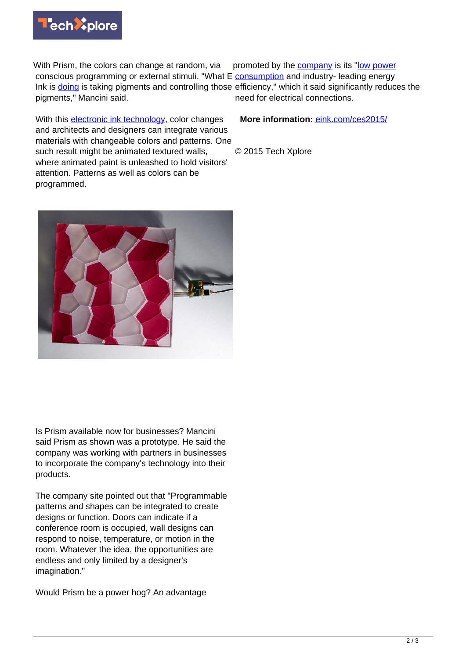

With Prism, the colors can change at random, via conscious programming or external stimuli. "What E **consumption** and industry- leading energy Ink is **doing** is taking pigments and controlling those efficiency," which it said significantly reduces the pigments," Mancini said. promoted by the [company](https://techxplore.com/tags/company/) is its "[low power](https://techxplore.com/tags/low+power+consumption/) need for electrical connections.

With this **[electronic ink technology](https://techxplore.com/tags/electronic+ink+technology/)**, color changes and architects and designers can integrate various materials with changeable colors and patterns. One such result might be animated textured walls, where animated paint is unleashed to hold visitors' attention. Patterns as well as colors can be programmed. © 2015 Tech Xplore

Is Prism available now for businesses? Mancini said Prism as shown was a prototype. He said the company was working with partners in businesses to incorporate the company's technology into their products.

The company site pointed out that "Programmable patterns and shapes can be integrated to create designs or function. Doors can indicate if a conference room is occupied, wall designs can respond to noise, temperature, or motion in the room. Whatever the idea, the opportunities are endless and only limited by a designer's imagination."

Would Prism be a power hog? An advantage

**More information:** [eink.com/ces2015/](http://eink.com/ces2015/)